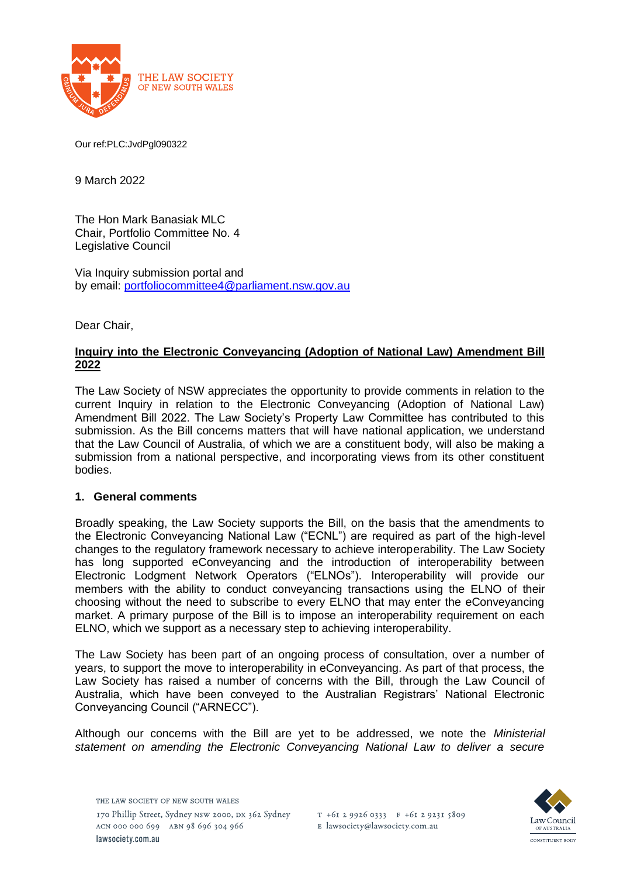

Our ref:PLC:JvdPgl090322

9 March 2022

The Hon Mark Banasiak MLC Chair, Portfolio Committee No. 4 Legislative Council

Via Inquiry submission portal and by email: [portfoliocommittee4@parliament.nsw.gov.au](mailto:portfoliocommittee4@parliament.nsw.gov.au)

Dear Chair,

# **Inquiry into the Electronic Conveyancing (Adoption of National Law) Amendment Bill 2022**

The Law Society of NSW appreciates the opportunity to provide comments in relation to the current Inquiry in relation to the Electronic Conveyancing (Adoption of National Law) Amendment Bill 2022. The Law Society's Property Law Committee has contributed to this submission. As the Bill concerns matters that will have national application, we understand that the Law Council of Australia, of which we are a constituent body, will also be making a submission from a national perspective, and incorporating views from its other constituent bodies.

# **1. General comments**

Broadly speaking, the Law Society supports the Bill, on the basis that the amendments to the Electronic Conveyancing National Law ("ECNL") are required as part of the high-level changes to the regulatory framework necessary to achieve interoperability. The Law Society has long supported eConveyancing and the introduction of interoperability between Electronic Lodgment Network Operators ("ELNOs"). Interoperability will provide our members with the ability to conduct conveyancing transactions using the ELNO of their choosing without the need to subscribe to every ELNO that may enter the eConveyancing market. A primary purpose of the Bill is to impose an interoperability requirement on each ELNO, which we support as a necessary step to achieving interoperability.

The Law Society has been part of an ongoing process of consultation, over a number of years, to support the move to interoperability in eConveyancing. As part of that process, the Law Society has raised a number of concerns with the Bill, through the Law Council of Australia, which have been conveyed to the Australian Registrars' National Electronic Conveyancing Council ("ARNECC").

Although our concerns with the Bill are yet to be addressed, we note the *Ministerial statement on amending the Electronic Conveyancing National Law to deliver a secure* 

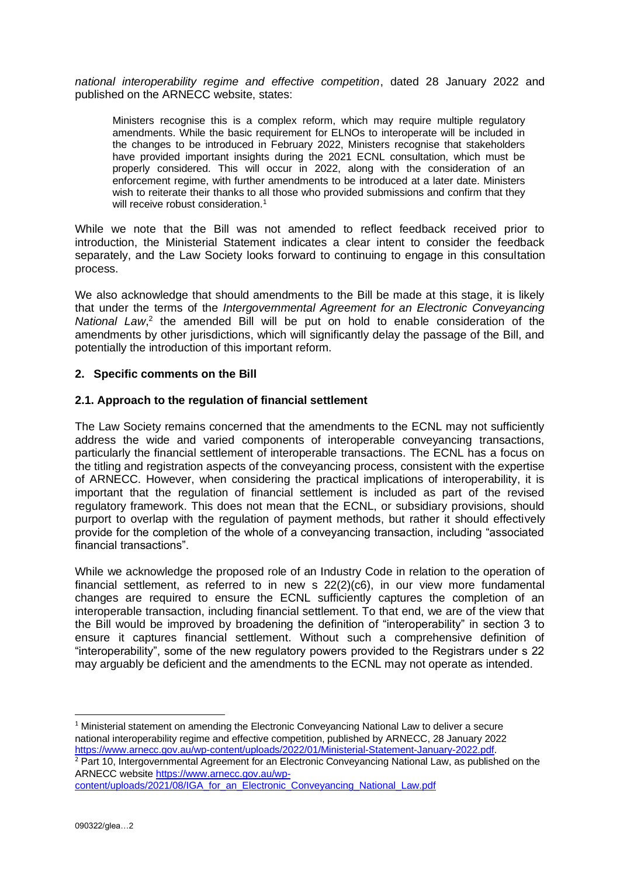*national interoperability regime and effective competition*, dated 28 January 2022 and published on the ARNECC website, states:

Ministers recognise this is a complex reform, which may require multiple regulatory amendments. While the basic requirement for ELNOs to interoperate will be included in the changes to be introduced in February 2022, Ministers recognise that stakeholders have provided important insights during the 2021 ECNL consultation, which must be properly considered. This will occur in 2022, along with the consideration of an enforcement regime, with further amendments to be introduced at a later date. Ministers wish to reiterate their thanks to all those who provided submissions and confirm that they will receive robust consideration.<sup>1</sup>

While we note that the Bill was not amended to reflect feedback received prior to introduction, the Ministerial Statement indicates a clear intent to consider the feedback separately, and the Law Society looks forward to continuing to engage in this consultation process.

We also acknowledge that should amendments to the Bill be made at this stage, it is likely that under the terms of the *Intergovernmental Agreement for an Electronic Conveyancing*  National Law,<sup>2</sup> the amended Bill will be put on hold to enable consideration of the amendments by other jurisdictions, which will significantly delay the passage of the Bill, and potentially the introduction of this important reform.

#### **2. Specific comments on the Bill**

#### **2.1. Approach to the regulation of financial settlement**

The Law Society remains concerned that the amendments to the ECNL may not sufficiently address the wide and varied components of interoperable conveyancing transactions, particularly the financial settlement of interoperable transactions. The ECNL has a focus on the titling and registration aspects of the conveyancing process, consistent with the expertise of ARNECC. However, when considering the practical implications of interoperability, it is important that the regulation of financial settlement is included as part of the revised regulatory framework. This does not mean that the ECNL, or subsidiary provisions, should purport to overlap with the regulation of payment methods, but rather it should effectively provide for the completion of the whole of a conveyancing transaction, including "associated financial transactions".

While we acknowledge the proposed role of an Industry Code in relation to the operation of financial settlement, as referred to in new s  $22(2)(c6)$ , in our view more fundamental changes are required to ensure the ECNL sufficiently captures the completion of an interoperable transaction, including financial settlement. To that end, we are of the view that the Bill would be improved by broadening the definition of "interoperability" in section 3 to ensure it captures financial settlement. Without such a comprehensive definition of "interoperability", some of the new regulatory powers provided to the Registrars under s 22 may arguably be deficient and the amendments to the ECNL may not operate as intended.

<sup>1</sup> Ministerial statement on amending the Electronic Convevancing National Law to deliver a secure national interoperability regime and effective competition, published by ARNECC, 28 January 2022 [https://www.arnecc.gov.au/wp-content/uploads/2022/01/Ministerial-Statement-January-2022.pdf.](https://www.arnecc.gov.au/wp-content/uploads/2022/01/Ministerial-Statement-January-2022.pdf)

<sup>2</sup> Part 10, Intergovernmental Agreement for an Electronic Conveyancing National Law, as published on the ARNECC websit[e https://www.arnecc.gov.au/wp-](https://www.arnecc.gov.au/wp-content/uploads/2021/08/IGA_for_an_Electronic_Conveyancing_National_Law.pdf)

[content/uploads/2021/08/IGA\\_for\\_an\\_Electronic\\_Conveyancing\\_National\\_Law.pdf](https://www.arnecc.gov.au/wp-content/uploads/2021/08/IGA_for_an_Electronic_Conveyancing_National_Law.pdf)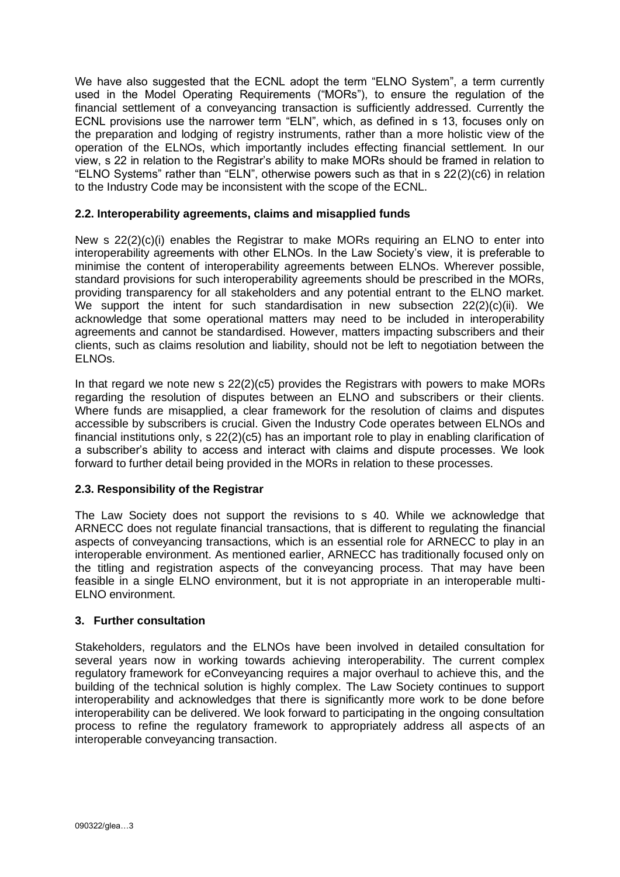We have also suggested that the ECNL adopt the term "ELNO System", a term currently used in the Model Operating Requirements ("MORs"), to ensure the regulation of the financial settlement of a conveyancing transaction is sufficiently addressed. Currently the ECNL provisions use the narrower term "ELN", which, as defined in s 13, focuses only on the preparation and lodging of registry instruments, rather than a more holistic view of the operation of the ELNOs, which importantly includes effecting financial settlement. In our view, s 22 in relation to the Registrar's ability to make MORs should be framed in relation to "ELNO Systems" rather than "ELN", otherwise powers such as that in s 22(2)(c6) in relation to the Industry Code may be inconsistent with the scope of the ECNL.

# **2.2. Interoperability agreements, claims and misapplied funds**

New s 22(2)(c)(i) enables the Registrar to make MORs requiring an ELNO to enter into interoperability agreements with other ELNOs. In the Law Society's view, it is preferable to minimise the content of interoperability agreements between ELNOs. Wherever possible, standard provisions for such interoperability agreements should be prescribed in the MORs, providing transparency for all stakeholders and any potential entrant to the ELNO market. We support the intent for such standardisation in new subsection 22(2)(c)(ii). We acknowledge that some operational matters may need to be included in interoperability agreements and cannot be standardised. However, matters impacting subscribers and their clients, such as claims resolution and liability, should not be left to negotiation between the ELNOs.

In that regard we note new s 22(2)(c5) provides the Registrars with powers to make MORs regarding the resolution of disputes between an ELNO and subscribers or their clients. Where funds are misapplied, a clear framework for the resolution of claims and disputes accessible by subscribers is crucial. Given the Industry Code operates between ELNOs and financial institutions only, s 22(2)(c5) has an important role to play in enabling clarification of a subscriber's ability to access and interact with claims and dispute processes. We look forward to further detail being provided in the MORs in relation to these processes.

# **2.3. Responsibility of the Registrar**

The Law Society does not support the revisions to s 40. While we acknowledge that ARNECC does not regulate financial transactions, that is different to regulating the financial aspects of conveyancing transactions, which is an essential role for ARNECC to play in an interoperable environment. As mentioned earlier, ARNECC has traditionally focused only on the titling and registration aspects of the conveyancing process. That may have been feasible in a single ELNO environment, but it is not appropriate in an interoperable multi-ELNO environment.

# **3. Further consultation**

Stakeholders, regulators and the ELNOs have been involved in detailed consultation for several years now in working towards achieving interoperability. The current complex regulatory framework for eConveyancing requires a major overhaul to achieve this, and the building of the technical solution is highly complex. The Law Society continues to support interoperability and acknowledges that there is significantly more work to be done before interoperability can be delivered. We look forward to participating in the ongoing consultation process to refine the regulatory framework to appropriately address all aspects of an interoperable conveyancing transaction.